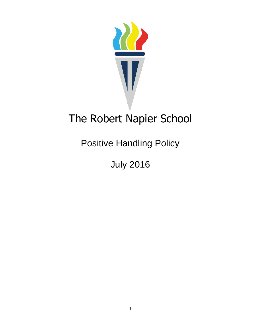

# The Robert Napier School

Positive Handling Policy

July 2016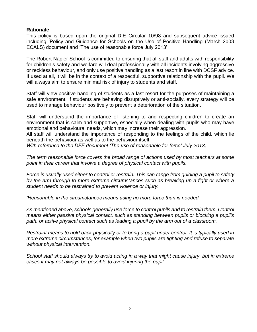#### **Rationale**

This policy is based upon the original DfE Circular 10/98 and subsequent advice issued including 'Policy and Guidance for Schools on the Use of Positive Handling (March 2003 ECALS) document and 'The use of reasonable force July 2013'

The Robert Napier School is committed to ensuring that all staff and adults with responsibility for children's safety and welfare will deal professionally with all incidents involving aggressive or reckless behaviour, and only use positive handling as a last resort in line with DCSF advice. If used at all, it will be in the context of a respectful, supportive relationship with the pupil. We will always aim to ensure minimal risk of injury to students and staff.

Staff will view positive handling of students as a last resort for the purposes of maintaining a safe environment. If students are behaving disruptively or anti-socially, every strategy will be used to manage behaviour positively to prevent a deterioration of the situation.

Staff will understand the importance of listening to and respecting children to create an environment that is calm and supportive, especially when dealing with pupils who may have emotional and behavioural needs, which may increase their aggression.

All staff will understand the importance of responding to the feelings of the child, which lie beneath the behaviour as well as to the behaviour itself.

*With reference to the DFE document 'The use of reasonable for force' July 2013,*

*The term reasonable force covers the broad range of actions used by most teachers at some point in their career that involve a degree of physical contact with pupils.* 

*Force is usually used either to control or restrain. This can range from guiding a pupil to safety by the arm through to more extreme circumstances such as breaking up a fight or where a student needs to be restrained to prevent violence or injury.* 

*'Reasonable in the circumstances means using no more force than is needed.* 

*As mentioned above, schools generally use force to control pupils and to restrain them. Control means either passive physical contact, such as standing between pupils or blocking a pupil's path, or active physical contact such as leading a pupil by the arm out of a classroom.* 

*Restraint means to hold back physically or to bring a pupil under control. It is typically used in more extreme circumstances, for example when two pupils are fighting and refuse to separate without physical intervention.* 

*School staff should always try to avoid acting in a way that might cause injury, but in extreme cases it may not always be possible to avoid injuring the pupil.*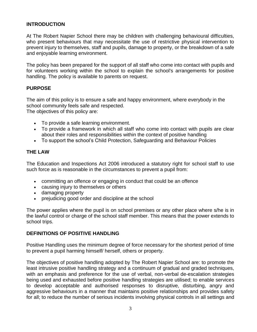## **INTRODUCTION**

At The Robert Napier School there may be children with challenging behavioural difficulties, who present behaviours that may necessitate the use of restrictive physical intervention to prevent injury to themselves, staff and pupils, damage to property, or the breakdown of a safe and enjoyable learning environment.

The policy has been prepared for the support of all staff who come into contact with pupils and for volunteers working within the school to explain the school's arrangements for positive handling. The policy is available to parents on request.

#### **PURPOSE**

The aim of this policy is to ensure a safe and happy environment, where everybody in the school community feels safe and respected. The objectives of this policy are:

- To provide a safe learning environment.
- To provide a framework in which all staff who come into contact with pupils are clear about their roles and responsibilities within the context of positive handling
- To support the school's Child Protection, Safeguarding and Behaviour Policies

#### **THE LAW**

The Education and Inspections Act 2006 introduced a statutory right for school staff to use such force as is reasonable in the circumstances to prevent a pupil from:

- committing an offence or engaging in conduct that could be an offence
- causing injury to themselves or others
- damaging property
- prejudicing good order and discipline at the school

The power applies where the pupil is on school premises or any other place where s/he is in the lawful control or charge of the school staff member. This means that the power extends to school trips.

#### **DEFINITIONS OF POSITIVE HANDLING**

Positive Handling uses the minimum degree of force necessary for the shortest period of time to prevent a pupil harming himself/ herself, others or property.

The objectives of positive handling adopted by The Robert Napier School are: to promote the least intrusive positive handling strategy and a continuum of gradual and graded techniques, with an emphasis and preference for the use of verbal, non-verbal de-escalation strategies being used and exhausted before positive handling strategies are utilised; to enable services to develop acceptable and authorised responses to disruptive, disturbing, angry and aggressive behaviours in a manner that maintains positive relationships and provides safety for all; to reduce the number of serious incidents involving physical controls in all settings and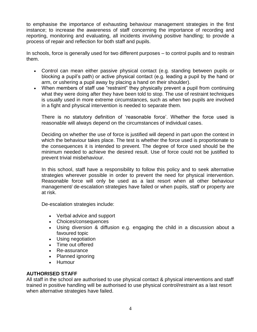to emphasise the importance of exhausting behaviour management strategies in the first instance; to increase the awareness of staff concerning the importance of recording and reporting, monitoring and evaluating, all incidents involving positive handling; to provide a process of repair and reflection for both staff and pupils.

In schools, force is generally used for two different purposes – to control pupils and to restrain them.

- Control can mean either passive physical contact (e.g. standing between pupils or blocking a pupil's path) or active physical contact (e.g. leading a pupil by the hand or arm, or ushering a pupil away by placing a hand on their shoulder).
- When members of staff use "restraint" they physically prevent a pupil from continuing what they were doing after they have been told to stop. The use of restraint techniques is usually used in more extreme circumstances, such as when two pupils are involved in a fight and physical intervention is needed to separate them.

There is no statutory definition of 'reasonable force'. Whether the force used is reasonable will always depend on the circumstances of individual cases.

Deciding on whether the use of force is justified will depend in part upon the context in which the behaviour takes place. The test is whether the force used is proportionate to the consequences it is intended to prevent. The degree of force used should be the minimum needed to achieve the desired result. Use of force could not be justified to prevent trivial misbehaviour.

In this school, staff have a responsibility to follow this policy and to seek alternative strategies wherever possible in order to prevent the need for physical intervention. Reasonable force will only be used as a last resort when all other behaviour management/ de-escalation strategies have failed or when pupils, staff or property are at risk.

De-escalation strategies include:

- Verbal advice and support
- Choices/consequences
- Using diversion & diffusion e.g. engaging the child in a discussion about a favoured topic
- Using negotiation
- Time out offered
- Re-assurance
- Planned ignoring
- Humour

## **AUTHORISED STAFF**

All staff in the school are authorised to use physical contact & physical interventions and staff trained in positive handling will be authorised to use physical control/restraint as a last resort when alternative strategies have failed.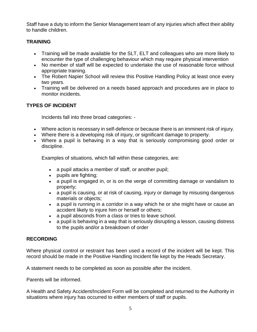Staff have a duty to inform the Senior Management team of any injuries which affect their ability to handle children.

## **TRAINING**

- Training will be made available for the SLT, ELT and colleagues who are more likely to encounter the type of challenging behaviour which may require physical intervention
- No member of staff will be expected to undertake the use of reasonable force without appropriate training.
- The Robert Napier School will review this Positive Handling Policy at least once every two years.
- Training will be delivered on a needs based approach and procedures are in place to monitor incidents.

# **TYPES OF INCIDENT**

Incidents fall into three broad categories: -

- Where action is necessary in self-defence or because there is an imminent risk of injury.
- Where there is a developing risk of injury, or significant damage to property.
- Where a pupil is behaving in a way that is seriously compromising good order or discipline.

Examples of situations, which fall within these categories, are:

- a pupil attacks a member of staff, or another pupil;
- pupils are fighting;
- a pupil is engaged in, or is on the verge of committing damage or vandalism to property;
- a pupil is causing, or at risk of causing, injury or damage by misusing dangerous materials or objects;
- a pupil is running in a corridor in a way which he or she might have or cause an accident likely to injure him or herself or others;
- a pupil absconds from a class or tries to leave school.
- a pupil is behaving in a way that is seriously disrupting a lesson, causing distress to the pupils and/or a breakdown of order

## **RECORDING**

Where physical control or restraint has been used a record of the incident will be kept. This record should be made in the Positive Handling Incident file kept by the Heads Secretary.

A statement needs to be completed as soon as possible after the incident.

Parents will be informed.

A Health and Safety Accident/Incident Form will be completed and returned to the Authority in situations where injury has occurred to either members of staff or pupils.